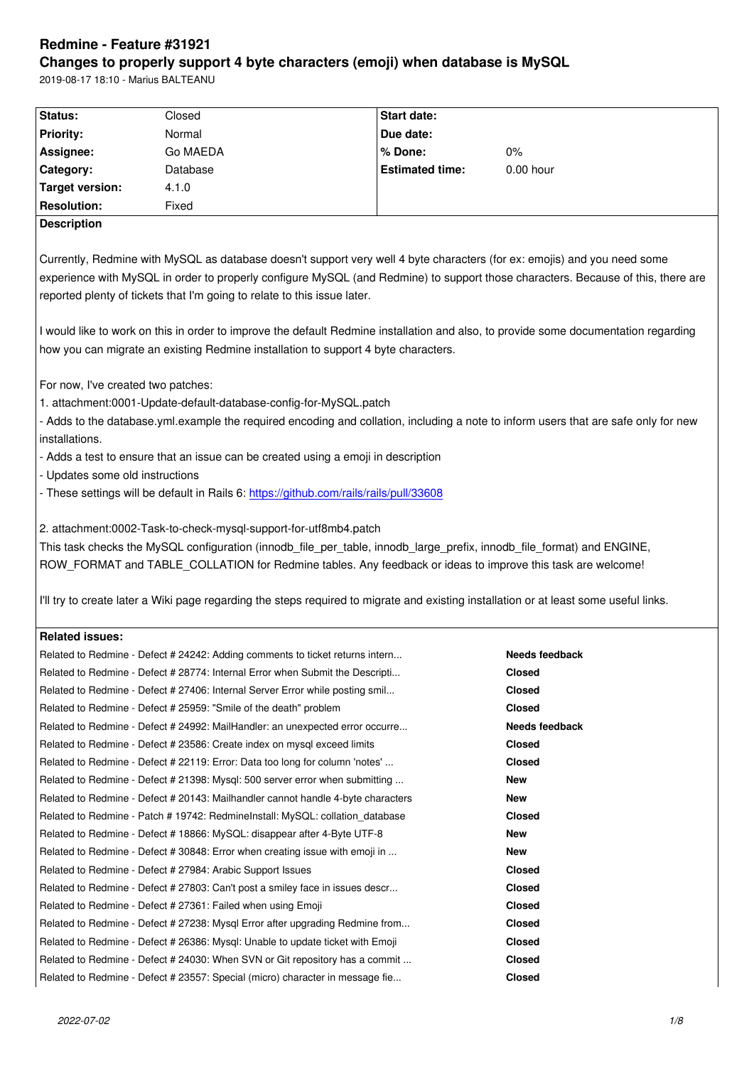#### **Changes to properly support 4 byte characters (emoji) when database is MySQL**

2019-08-17 18:10 - Marius BALTEANU

| Status:                                                                                                                             | Closed                                                                                                                                | Start date:            |                       |  |
|-------------------------------------------------------------------------------------------------------------------------------------|---------------------------------------------------------------------------------------------------------------------------------------|------------------------|-----------------------|--|
| Priority:                                                                                                                           | Normal                                                                                                                                | Due date:              |                       |  |
| Assignee:                                                                                                                           | Go MAEDA                                                                                                                              | % Done:                | 0%                    |  |
| Category:                                                                                                                           | Database                                                                                                                              | <b>Estimated time:</b> | 0.00 hour             |  |
| <b>Target version:</b>                                                                                                              | 4.1.0                                                                                                                                 |                        |                       |  |
| <b>Resolution:</b>                                                                                                                  | Fixed                                                                                                                                 |                        |                       |  |
| <b>Description</b>                                                                                                                  |                                                                                                                                       |                        |                       |  |
|                                                                                                                                     |                                                                                                                                       |                        |                       |  |
| Currently, Redmine with MySQL as database doesn't support very well 4 byte characters (for ex: emojis) and you need some            |                                                                                                                                       |                        |                       |  |
| experience with MySQL in order to properly configure MySQL (and Redmine) to support those characters. Because of this, there are    |                                                                                                                                       |                        |                       |  |
| reported plenty of tickets that I'm going to relate to this issue later.                                                            |                                                                                                                                       |                        |                       |  |
|                                                                                                                                     |                                                                                                                                       |                        |                       |  |
| I would like to work on this in order to improve the default Redmine installation and also, to provide some documentation regarding |                                                                                                                                       |                        |                       |  |
|                                                                                                                                     | how you can migrate an existing Redmine installation to support 4 byte characters.                                                    |                        |                       |  |
|                                                                                                                                     |                                                                                                                                       |                        |                       |  |
| For now, I've created two patches:                                                                                                  |                                                                                                                                       |                        |                       |  |
|                                                                                                                                     | 1. attachment:0001-Update-default-database-config-for-MySQL.patch                                                                     |                        |                       |  |
|                                                                                                                                     | - Adds to the database.yml.example the required encoding and collation, including a note to inform users that are safe only for new   |                        |                       |  |
| installations.                                                                                                                      |                                                                                                                                       |                        |                       |  |
|                                                                                                                                     | - Adds a test to ensure that an issue can be created using a emoji in description                                                     |                        |                       |  |
| - Updates some old instructions                                                                                                     |                                                                                                                                       |                        |                       |  |
| - These settings will be default in Rails 6: https://github.com/rails/rails/pull/33608                                              |                                                                                                                                       |                        |                       |  |
|                                                                                                                                     |                                                                                                                                       |                        |                       |  |
| 2. attachment:0002-Task-to-check-mysql-support-for-utf8mb4.patch                                                                    |                                                                                                                                       |                        |                       |  |
| This task checks the MySQL configuration (innodb_file_per_table, innodb_large_prefix, innodb_file_format) and ENGINE,               |                                                                                                                                       |                        |                       |  |
| ROW_FORMAT and TABLE_COLLATION for Redmine tables. Any feedback or ideas to improve this task are welcome!                          |                                                                                                                                       |                        |                       |  |
|                                                                                                                                     |                                                                                                                                       |                        |                       |  |
|                                                                                                                                     | I'll try to create later a Wiki page regarding the steps required to migrate and existing installation or at least some useful links. |                        |                       |  |
|                                                                                                                                     |                                                                                                                                       |                        |                       |  |
| <b>Related issues:</b>                                                                                                              |                                                                                                                                       |                        |                       |  |
|                                                                                                                                     | Related to Redmine - Defect # 24242: Adding comments to ticket returns intern                                                         |                        | Needs feedback        |  |
|                                                                                                                                     | Related to Redmine - Defect # 28774: Internal Error when Submit the Descripti                                                         |                        | <b>Closed</b>         |  |
|                                                                                                                                     | Related to Redmine - Defect # 27406: Internal Server Error while posting smil                                                         |                        | <b>Closed</b>         |  |
|                                                                                                                                     | Related to Redmine - Defect # 25959: "Smile of the death" problem                                                                     |                        | <b>Closed</b>         |  |
|                                                                                                                                     | Related to Redmine - Defect # 24992: MailHandler: an unexpected error occurre                                                         |                        | <b>Needs feedback</b> |  |
|                                                                                                                                     | Related to Redmine - Defect # 23586: Create index on mysql exceed limits                                                              |                        | <b>Closed</b>         |  |
|                                                                                                                                     | Related to Redmine - Defect # 22119: Error: Data too long for column 'notes'                                                          |                        | Closed                |  |
|                                                                                                                                     | Related to Redmine - Defect # 21398: Mysql: 500 server error when submitting                                                          |                        | New                   |  |
|                                                                                                                                     | Related to Redmine - Defect # 20143: Mailhandler cannot handle 4-byte characters                                                      |                        | New                   |  |
|                                                                                                                                     | Related to Redmine - Patch # 19742: RedmineInstall: MySQL: collation_database                                                         |                        | <b>Closed</b>         |  |
|                                                                                                                                     | Related to Redmine - Defect # 18866: MySQL: disappear after 4-Byte UTF-8                                                              |                        | <b>New</b>            |  |
|                                                                                                                                     | Related to Redmine - Defect # 30848: Error when creating issue with emoji in                                                          |                        | New                   |  |
|                                                                                                                                     | Related to Redmine - Defect # 27984: Arabic Support Issues                                                                            |                        | <b>Closed</b>         |  |
|                                                                                                                                     | Related to Redmine - Defect # 27803: Can't post a smiley face in issues descr                                                         |                        | <b>Closed</b>         |  |
|                                                                                                                                     | Related to Redmine - Defect # 27361: Failed when using Emoji                                                                          |                        | <b>Closed</b>         |  |
|                                                                                                                                     | Related to Redmine - Defect # 27238: Mysql Error after upgrading Redmine from                                                         |                        | <b>Closed</b>         |  |
|                                                                                                                                     | Related to Redmine - Defect # 26386: Mysql: Unable to update ticket with Emoji                                                        |                        | <b>Closed</b>         |  |
|                                                                                                                                     | Related to Redmine - Defect # 24030: When SVN or Git repository has a commit                                                          |                        | <b>Closed</b>         |  |
|                                                                                                                                     | Related to Redmine - Defect # 23557: Special (micro) character in message fie                                                         |                        | <b>Closed</b>         |  |
|                                                                                                                                     |                                                                                                                                       |                        |                       |  |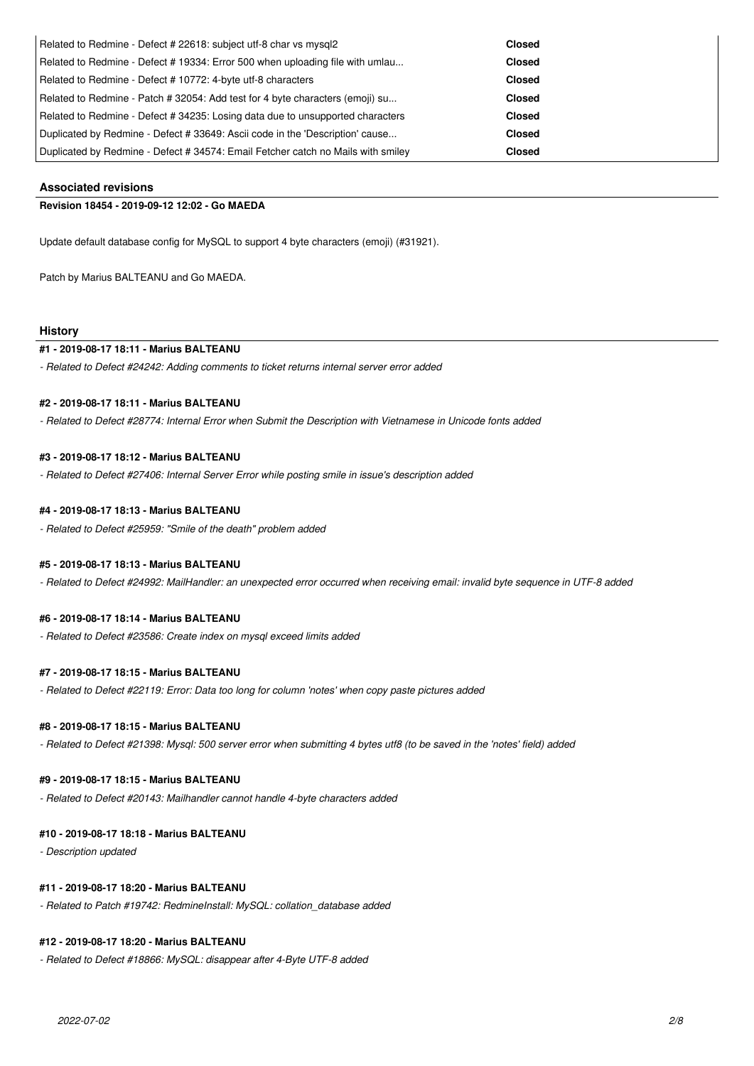| Related to Redmine - Defect # 22618: subject utf-8 char vs mysgl2                | Closed        |
|----------------------------------------------------------------------------------|---------------|
| Related to Redmine - Defect # 19334: Error 500 when uploading file with umlau    | <b>Closed</b> |
| Related to Redmine - Defect # 10772: 4-byte utf-8 characters                     | <b>Closed</b> |
| Related to Redmine - Patch # 32054: Add test for 4 byte characters (emoji) su    | <b>Closed</b> |
| Related to Redmine - Defect # 34235: Losing data due to unsupported characters   | <b>Closed</b> |
| Duplicated by Redmine - Defect # 33649: Ascii code in the 'Description' cause    | <b>Closed</b> |
| Duplicated by Redmine - Defect # 34574: Email Fetcher catch no Mails with smiley | <b>Closed</b> |

# **Associated revisions**

### **Revision 18454 - 2019-09-12 12:02 - Go MAEDA**

Update default database config for MySQL to support 4 byte characters (emoji) (#31921).

Patch by Marius BALTEANU and Go MAEDA.

## **History**

# **#1 - 2019-08-17 18:11 - Marius BALTEANU**

*- Related to Defect #24242: Adding comments to ticket returns internal server error added*

#### **#2 - 2019-08-17 18:11 - Marius BALTEANU**

*- Related to Defect #28774: Internal Error when Submit the Description with Vietnamese in Unicode fonts added*

## **#3 - 2019-08-17 18:12 - Marius BALTEANU**

*- Related to Defect #27406: Internal Server Error while posting smile in issue's description added*

## **#4 - 2019-08-17 18:13 - Marius BALTEANU**

*- Related to Defect #25959: "Smile of the death" problem added*

# **#5 - 2019-08-17 18:13 - Marius BALTEANU**

*- Related to Defect #24992: MailHandler: an unexpected error occurred when receiving email: invalid byte sequence in UTF-8 added*

# **#6 - 2019-08-17 18:14 - Marius BALTEANU**

*- Related to Defect #23586: Create index on mysql exceed limits added*

# **#7 - 2019-08-17 18:15 - Marius BALTEANU**

*- Related to Defect #22119: Error: Data too long for column 'notes' when copy paste pictures added*

# **#8 - 2019-08-17 18:15 - Marius BALTEANU**

*- Related to Defect #21398: Mysql: 500 server error when submitting 4 bytes utf8 (to be saved in the 'notes' field) added*

# **#9 - 2019-08-17 18:15 - Marius BALTEANU**

*- Related to Defect #20143: Mailhandler cannot handle 4-byte characters added*

#### **#10 - 2019-08-17 18:18 - Marius BALTEANU**

*- Description updated*

### **#11 - 2019-08-17 18:20 - Marius BALTEANU**

*- Related to Patch #19742: RedmineInstall: MySQL: collation\_database added*

#### **#12 - 2019-08-17 18:20 - Marius BALTEANU**

*- Related to Defect #18866: MySQL: disappear after 4-Byte UTF-8 added*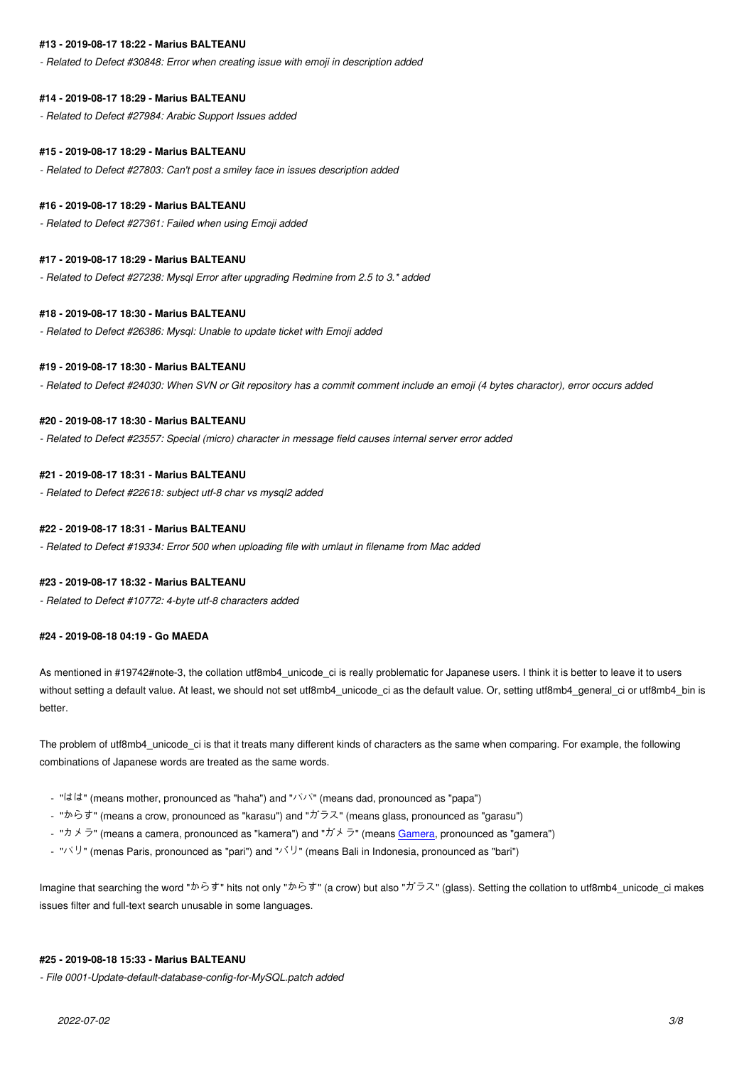*- Related to Defect #30848: Error when creating issue with emoji in description added*

### **#14 - 2019-08-17 18:29 - Marius BALTEANU**

*- Related to Defect #27984: Arabic Support Issues added*

#### **#15 - 2019-08-17 18:29 - Marius BALTEANU**

*- Related to Defect #27803: Can't post a smiley face in issues description added*

#### **#16 - 2019-08-17 18:29 - Marius BALTEANU**

*- Related to Defect #27361: Failed when using Emoji added*

#### **#17 - 2019-08-17 18:29 - Marius BALTEANU**

*- Related to Defect #27238: Mysql Error after upgrading Redmine from 2.5 to 3.\* added*

#### **#18 - 2019-08-17 18:30 - Marius BALTEANU**

*- Related to Defect #26386: Mysql: Unable to update ticket with Emoji added*

### **#19 - 2019-08-17 18:30 - Marius BALTEANU**

*- Related to Defect #24030: When SVN or Git repository has a commit comment include an emoji (4 bytes charactor), error occurs added*

#### **#20 - 2019-08-17 18:30 - Marius BALTEANU**

*- Related to Defect #23557: Special (micro) character in message field causes internal server error added*

# **#21 - 2019-08-17 18:31 - Marius BALTEANU**

*- Related to Defect #22618: subject utf-8 char vs mysql2 added*

## **#22 - 2019-08-17 18:31 - Marius BALTEANU**

*- Related to Defect #19334: Error 500 when uploading file with umlaut in filename from Mac added*

#### **#23 - 2019-08-17 18:32 - Marius BALTEANU**

*- Related to Defect #10772: 4-byte utf-8 characters added*

#### **#24 - 2019-08-18 04:19 - Go MAEDA**

As mentioned in #19742#note-3, the collation utf8mb4 unicode ci is really problematic for Japanese users. I think it is better to leave it to users without setting a default value. At least, we should not set utf8mb4\_unicode\_ci as the default value. Or, setting utf8mb4\_general\_ci or utf8mb4\_bin is better.

The problem of utf8mb4\_unicode\_ci is that it treats many different kinds of characters as the same when comparing. For example, the following combinations of Japanese words are treated as the same words.

- "はは" (means mother, pronounced as "haha") and "パパ" (means dad, pronounced as "papa")
- "からす" (means a crow, pronounced as "karasu") and "ガラス" (means glass, pronounced as "garasu")
- "カメラ" (means a camera, pronounced as "kamera") and "ガメラ" (means Gamera, pronounced as "gamera")
- "パリ" (menas Paris, pronounced as "pari") and "バリ" (means Bali in Indonesia, pronounced as "bari")

Imagine that searching the word "からす" hits not only "からす" (a crow) but als[o "ガラス](https://en.wikipedia.org/wiki/Gamera)" (glass). Setting the collation to utf8mb4\_unicode\_ci makes issues filter and full-text search unusable in some languages.

# **#25 - 2019-08-18 15:33 - Marius BALTEANU**

*- File 0001-Update-default-database-config-for-MySQL.patch added*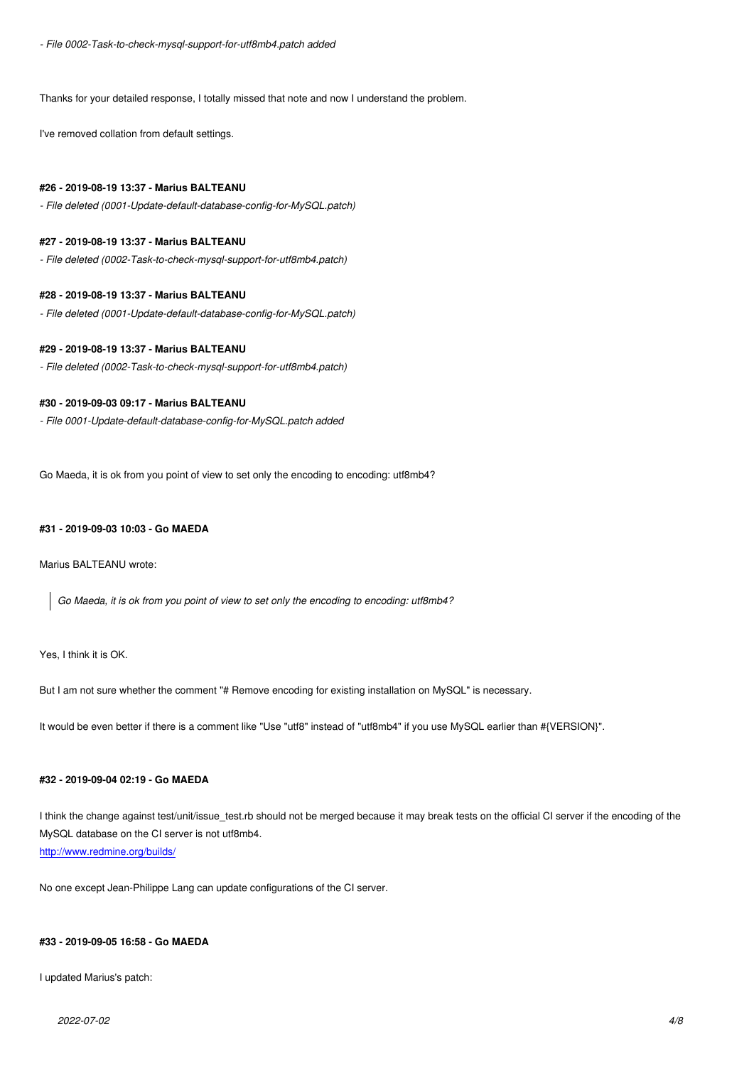Thanks for your detailed response, I totally missed that note and now I understand the problem.

I've removed collation from default settings.

## **#26 - 2019-08-19 13:37 - Marius BALTEANU**

*- File deleted (0001-Update-default-database-config-for-MySQL.patch)*

# **#27 - 2019-08-19 13:37 - Marius BALTEANU**

*- File deleted (0002-Task-to-check-mysql-support-for-utf8mb4.patch)*

## **#28 - 2019-08-19 13:37 - Marius BALTEANU**

*- File deleted (0001-Update-default-database-config-for-MySQL.patch)*

# **#29 - 2019-08-19 13:37 - Marius BALTEANU**

*- File deleted (0002-Task-to-check-mysql-support-for-utf8mb4.patch)*

# **#30 - 2019-09-03 09:17 - Marius BALTEANU**

*- File 0001-Update-default-database-config-for-MySQL.patch added*

Go Maeda, it is ok from you point of view to set only the encoding to encoding: utf8mb4?

# **#31 - 2019-09-03 10:03 - Go MAEDA**

Marius BALTEANU wrote:

*Go Maeda, it is ok from you point of view to set only the encoding to encoding: utf8mb4?*

Yes, I think it is OK.

But I am not sure whether the comment "# Remove encoding for existing installation on MySQL" is necessary.

It would be even better if there is a comment like "Use "utf8" instead of "utf8mb4" if you use MySQL earlier than #{VERSION}".

# **#32 - 2019-09-04 02:19 - Go MAEDA**

I think the change against test/unit/issue\_test.rb should not be merged because it may break tests on the official CI server if the encoding of the MySQL database on the CI server is not utf8mb4. http://www.redmine.org/builds/

No one except Jean-Philippe Lang can update configurations of the CI server.

# **#33 - 2019-09-05 16:58 - Go MAEDA**

I updated Marius's patch: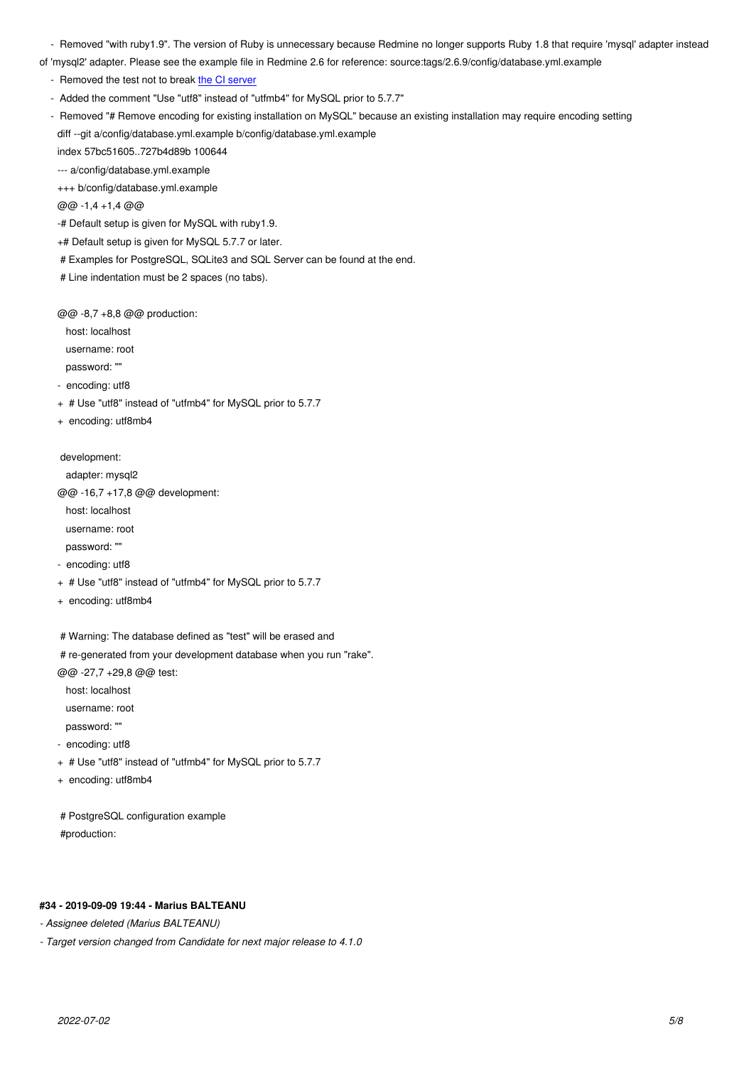of 'mysql2' adapter. Please see the example file in Redmine 2.6 for reference: source:tags/2.6.9/config/database.yml.example

- Removed the test not to break the CI server
- Added the comment "Use "utf8" instead of "utfmb4" for MySQL prior to 5.7.7"
- Removed "# Remove encoding for existing installation on MySQL" because an existing installation may require encoding setting diff --git a/config/database.yml.[example b/con](http://www.redmine.org/builds/)fig/database.yml.example

index 57bc51605..727b4d89b 100644

--- a/config/database.yml.example

+++ b/config/database.yml.example

@@ -1,4 +1,4 @@

-# Default setup is given for MySQL with ruby1.9.

+# Default setup is given for MySQL 5.7.7 or later.

# Examples for PostgreSQL, SQLite3 and SQL Server can be found at the end.

# Line indentation must be 2 spaces (no tabs).

@@ -8,7 +8,8 @@ production:

host: localhost

username: root

password: ""

- encoding: utf8

- + # Use "utf8" instead of "utfmb4" for MySQL prior to 5.7.7
- + encoding: utf8mb4

development:

adapter: mysql2

@@ -16,7 +17,8 @@ development:

host: localhost

username: root

password: ""

- encoding: utf8

- + # Use "utf8" instead of "utfmb4" for MySQL prior to 5.7.7
- + encoding: utf8mb4
- # Warning: The database defined as "test" will be erased and
- # re-generated from your development database when you run "rake".

@@ -27,7 +29,8 @@ test:

host: localhost

username: root

password: ""

- encoding: utf8

+ # Use "utf8" instead of "utfmb4" for MySQL prior to 5.7.7

+ encoding: utf8mb4

 # PostgreSQL configuration example #production:

# **#34 - 2019-09-09 19:44 - Marius BALTEANU**

*- Assignee deleted (Marius BALTEANU)*

*- Target version changed from Candidate for next major release to 4.1.0*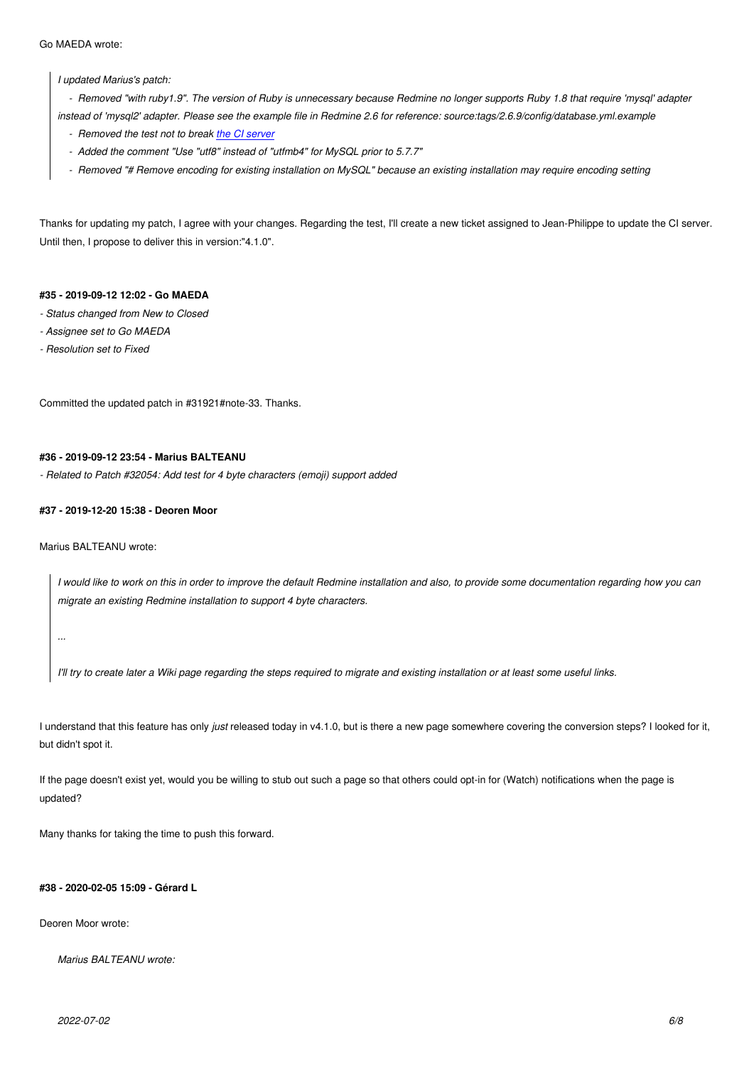*I updated Marius's patch:*

 *- Removed "with ruby1.9". The version of Ruby is unnecessary because Redmine no longer supports Ruby 1.8 that require 'mysql' adapter*

*instead of 'mysql2' adapter. Please see the example file in Redmine 2.6 for reference: source:tags/2.6.9/config/database.yml.example*

- *Removed the test not to break the CI server*
- *Added the comment "Use "utf8" instead of "utfmb4" for MySQL prior to 5.7.7"*
- *Removed "# Remove encoding for existing installation on MySQL" because an existing installation may require encoding setting*

Thanks for updating my patch, I agree with your changes. Regarding the test, I'll create a new ticket assigned to Jean-Philippe to update the CI server. Until then, I propose to deliver this in version:"4.1.0".

# **#35 - 2019-09-12 12:02 - Go MAEDA**

- *Status changed from New to Closed*
- *Assignee set to Go MAEDA*
- *Resolution set to Fixed*

Committed the updated patch in #31921#note-33. Thanks.

### **#36 - 2019-09-12 23:54 - Marius BALTEANU**

*- Related to Patch #32054: Add test for 4 byte characters (emoji) support added*

### **#37 - 2019-12-20 15:38 - Deoren Moor**

Marius BALTEANU wrote:

*I would like to work on this in order to improve the default Redmine installation and also, to provide some documentation regarding how you can migrate an existing Redmine installation to support 4 byte characters.*

*...*

*I'll try to create later a Wiki page regarding the steps required to migrate and existing installation or at least some useful links.*

I understand that this feature has only *just* released today in v4.1.0, but is there a new page somewhere covering the conversion steps? I looked for it, but didn't spot it.

If the page doesn't exist yet, would you be willing to stub out such a page so that others could opt-in for (Watch) notifications when the page is updated?

Many thanks for taking the time to push this forward.

### **#38 - 2020-02-05 15:09 - Gérard L**

Deoren Moor wrote:

*Marius BALTEANU wrote:*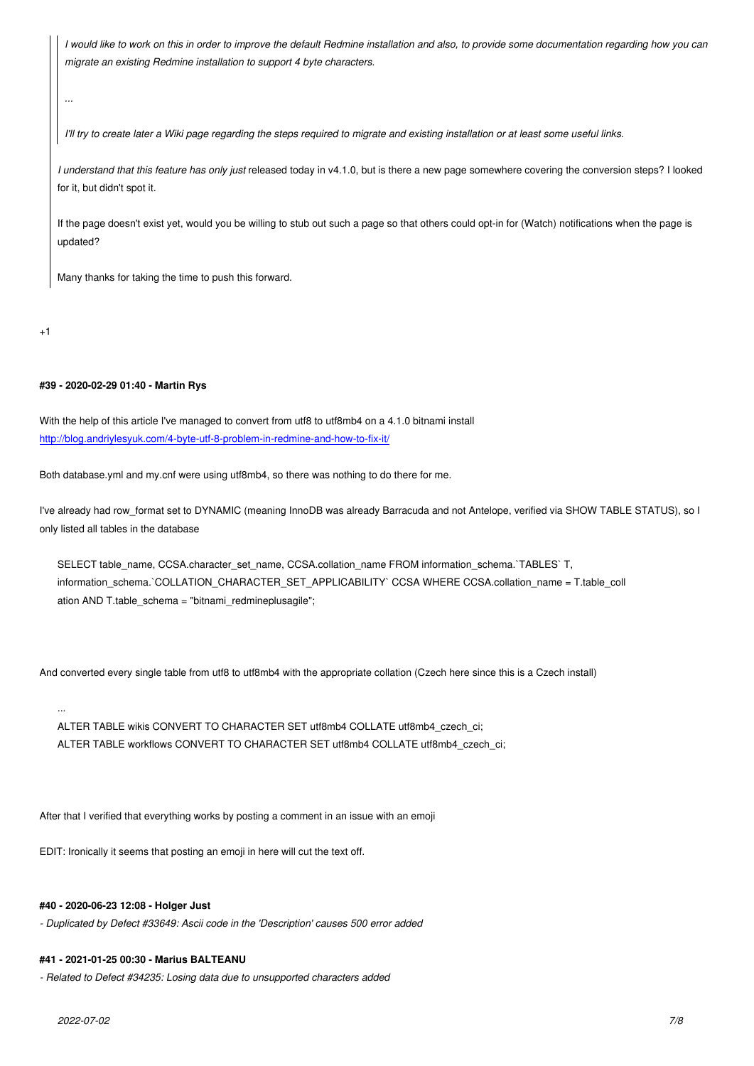*migrate an existing Redmine installation to support 4 byte characters.*

*I'll try to create later a Wiki page regarding the steps required to migrate and existing installation or at least some useful links.*

*I understand that this feature has only just* released today in v4.1.0, but is there a new page somewhere covering the conversion steps? I looked for it, but didn't spot it.

If the page doesn't exist yet, would you be willing to stub out such a page so that others could opt-in for (Watch) notifications when the page is updated?

Many thanks for taking the time to push this forward.

 $+1$ 

*...*

# **#39 - 2020-02-29 01:40 - Martin Rys**

With the help of this article I've managed to convert from utf8 to utf8mb4 on a 4.1.0 bitnami install http://blog.andriylesyuk.com/4-byte-utf-8-problem-in-redmine-and-how-to-fix-it/

Both database.yml and my.cnf were using utf8mb4, so there was nothing to do there for me.

I've already had row format set to DYNAMIC (meaning InnoDB was already Barracuda and not Antelope, verified via SHOW TABLE STATUS), so I only listed all tables in the database

SELECT table\_name, CCSA.character\_set\_name, CCSA.collation\_name FROM information\_schema.`TABLES` T, information\_schema.`COLLATION\_CHARACTER\_SET\_APPLICABILITY` CCSA WHERE CCSA.collation\_name = T.table\_coll ation AND T.table\_schema = "bitnami\_redmineplusagile";

And converted every single table from utf8 to utf8mb4 with the appropriate collation (Czech here since this is a Czech install)

ALTER TABLE wikis CONVERT TO CHARACTER SET utf8mb4 COLLATE utf8mb4\_czech\_ci; ALTER TABLE workflows CONVERT TO CHARACTER SET utf8mb4 COLLATE utf8mb4\_czech\_ci;

After that I verified that everything works by posting a comment in an issue with an emoji

EDIT: Ironically it seems that posting an emoji in here will cut the text off.

## **#40 - 2020-06-23 12:08 - Holger Just**

*- Duplicated by Defect #33649: Ascii code in the 'Description' causes 500 error added*

# **#41 - 2021-01-25 00:30 - Marius BALTEANU**

*- Related to Defect #34235: Losing data due to unsupported characters added*

...